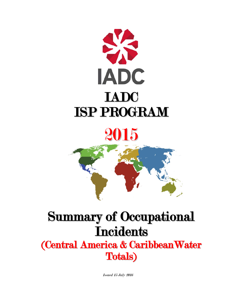

# 2015



# Summary of Occupational **Incidents**

(Central America & CaribbeanWater Totals)

Issued 15 July 2016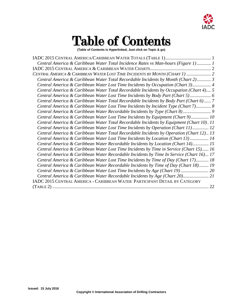

## Table of Contents

**(Table of Contents is Hyperlinked, Just click on Topic & go)**

IADC 2015 [CENTRAL AMERICA/CARIBBEAN WATER TOTALS \(TABLE 1\).......................................](#page-2-0) 1 *[Central America & Caribbean Water Total Incidence Rates vs Man-hours \(Figure 1\)](#page-2-1) ............ 1* IADC 2015 CENTRAL AMERICA & [CARIBBEAN WATER CHARTS....................................................](#page-3-0) 2 *CENTRAL AMERICA & [CARIBBEAN WATER LOST TIME INCIDENTS BY MONTH \(CHART 1\)](#page-3-1) ..................... 2 [Central America & Caribbean Water Total Recordable Incidents by Month \(Chart 2\)............](#page-4-0) 3 [Central America & Caribbean Water Lost Time Incidents by Occupation \(Chart 3\)................](#page-5-0) 4 [Central America & Caribbean Water Total Recordable Incidents by Occupation \(Chart 4\)....](#page-6-0) 5 [Central America & Caribbean Water Lost Time Incidents by Body Part \(Chart 5\)..................](#page-7-0) 6 [Central America & Caribbean Water Total Recordable Incidents by Body Part \(Chart 6\)......](#page-8-0) 7 [Central America & Caribbean Water Lost Time Incidents by Incident Type \(Chart 7\).............](#page-9-0) 8 [Central America & Caribbean Water Recordable Incidents by Type \(Chart 8\)........................](#page-10-0) 9 [Central America & Caribbean Water Lost Time Incidents by Equipment \(Chart 9\)...............](#page-11-0) 10 [Central America & Caribbean Water Total Recordable Incidents by Equipment \(Chart 10\).](#page-12-0) 11 [Central America & Caribbean Water Lost Time Incidents by Operation \(Chart 11\)..............](#page-13-0) 12 [Central America & Caribbean Water Total Recordable Incidents by](#page-14-0) Operation (Chart 12).. 13 [Central America & Caribbean Water Lost Time Incidents by Location \(Chart 13\)](#page-15-0) ................ 14 [Central America & Caribbean Water Recordable Incidents by Location \(Chart 14\)..............](#page-16-0) 15 [Central America & Caribbean Water Lost Time Incidents by Time in Service \(Chart 15\)......](#page-17-0) 16 [Central America & Caribbean Water Recordable Incidents by Time In Service \(Chart 16\)...](#page-18-0) 17 [Central America & Caribbean Water Lost Time Incidents by Time of Day \(Chart 17\)...........](#page-19-0) 18 [Central America & Caribbean Water Recordable Incidents by Time of Day \(Chart 18\)........](#page-20-0) 19 [Central America & Caribbean Water Lost Time](#page-20-0) Incidents by Age (Chart 19) ........................ 20 [Central America & Caribbean Water Recordable Incidents by Age](#page-20-0) (Chart 20)...................... 21* IADC 2015 CENTRAL AMERICA - CARIBBEAN WATER PARTICIPANT DETAIL BY CATEGORY (TABLE 2) ...................................................................................................................................... 22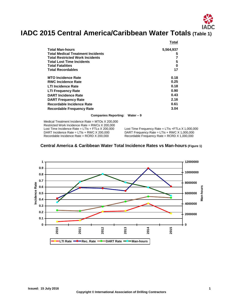# <span id="page-2-0"></span>**IADC 2015 Central America/Caribbean Water Totals (Table 1)**

|                                          | Total     |
|------------------------------------------|-----------|
| Total Man-hours                          | 5,564,937 |
| <b>Total Medical Treatment Incidents</b> | 5         |
| <b>Total Restricted Work Incidents</b>   |           |
| Total Lost Time Incidents                | 5         |
| Total Fatalities                         | 0         |
| <b>Total Recordables</b>                 | 17        |
| <b>MTO Incidence Rate</b>                | 0.18      |
| <b>RWC Incidence Rate</b>                | 0.25      |
| <b>LTI Incidence Rate</b>                | 0.18      |
| LTI Frequency Rate                       | 0.90      |
| <b>DART Incidence Rate</b>               | 0.43      |
| <b>DART Frequency Rate</b>               | 2.16      |
| Recordable Incidence Rate                | 0.61      |
| <b>Recordable Frequency Rate</b>         | 3.04      |

**Companies Reporting: Water – 9**

Medical Treatment Incidence Rate = MTOs X 200,000 Restricted Work Incidence Rate = RWCs X 200,000<br>Lost Time Incidence Rate = LTIs + FTLs X 200,000 Lost Time Incidence Rate = LTIs + FTLs X 200,000 Lost Time Frequency Rate = LTIs + FTLs X 1,000,000<br>DART Incidence Rate = LTIs + RWC X 200,000 DART Frequency Rate = LTIs + RWC X 1,000,000 DART Incidence Rate = LTIs + RWC X 200,000 DART Frequency Rate = LTIs + RWC X 1,000,000<br>Recordable Incidence Rate = RCRD X 200,000 Recordable Frequency Rate = RCRD X 1,000,000

Recordable Frequency Rate = RCRD  $X$  1,000,000

<span id="page-2-1"></span>

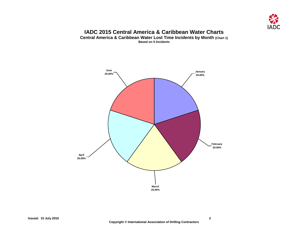

#### **IADC 2015 Central America & Caribbean Water Charts Central America & Caribbean Water Lost Time Incidents by Month (Chart 1)**

**Based on 5 Incidents**

<span id="page-3-1"></span><span id="page-3-0"></span>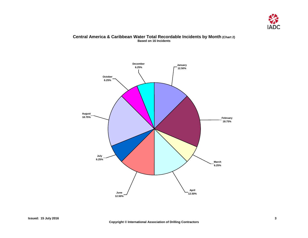

#### **Central America & Caribbean Water Total Recordable Incidents by Month (Chart 2) Based on 16 Incidents**

<span id="page-4-0"></span>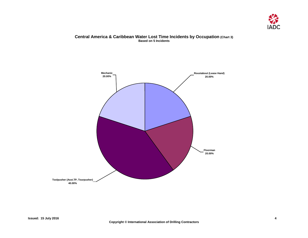

#### **Central America & Caribbean Water Lost Time Incidents by Occupation (Chart 3) Based on 5 Incidents**

<span id="page-5-0"></span>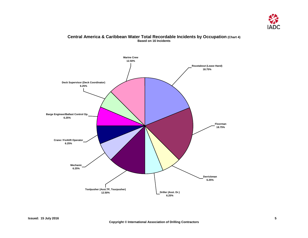

#### **Central America & Caribbean Water Total Recordable Incidents by Occupation (Chart 4) Based on 16 Incidents**

<span id="page-6-0"></span>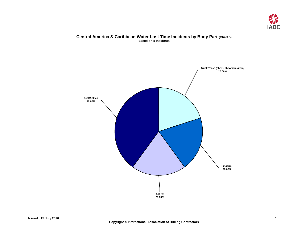

#### **Central America & Caribbean Water Lost Time Incidents by Body Part (Chart 5) Based on 5 Incidents**

<span id="page-7-0"></span>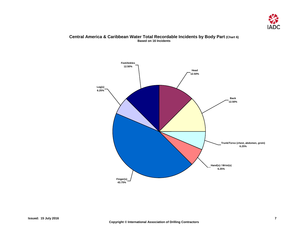

#### **Central America & Caribbean Water Total Recordable Incidents by Body Part (Chart 6) Based on 16 Incidents**

<span id="page-8-0"></span>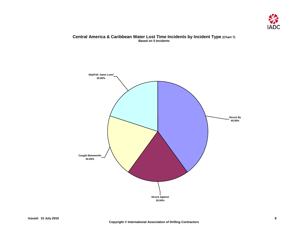

#### **Central America & Caribbean Water Lost Time Incidents by Incident Type (Chart 7) Based on 5 Incidents**

<span id="page-9-0"></span>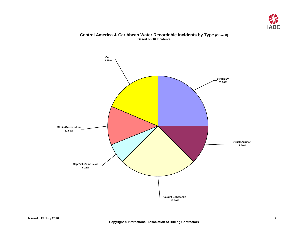

### <span id="page-10-0"></span>**Cut 18.75% Strain/Overexertion 12.50% Slip/Fall: Same Level 6.25% Caught Between/In 25.00% Struck Against 12.50% Struck By 25.00%**

#### **Central America & Caribbean Water Recordable Incidents by Type (Chart 8) Based on 16 Incidents**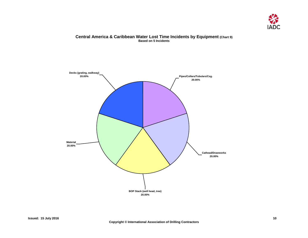

#### **Central America & Caribbean Water Lost Time Incidents by Equipment (Chart 9) Based on 5 Incidents**

<span id="page-11-0"></span>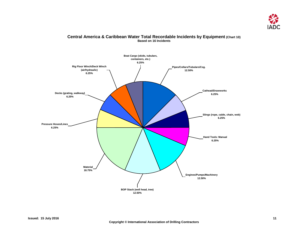

#### **Central America & Caribbean Water Total Recordable Incidents by Equipment (Chart 10) Based on 16 Incidents**

<span id="page-12-0"></span>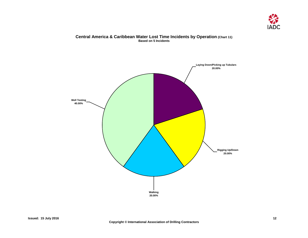

#### **Central America & Caribbean Water Lost Time Incidents by Operation (Chart 11) Based on 5 Incidents**

<span id="page-13-0"></span>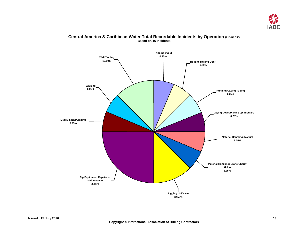

#### <span id="page-14-0"></span>**Tripping in/out 6.25% Routine Drilling Oper. 6.25% Running Casing/Tubing 6.25% Laying Down/Picking up Tubulars 6.25% Material Handling: Manual 6.25% Material Handling: Crane/Cherry Picker 6.25% Mud Mixing/Pumping 6.25% Rig/Equipment Repairs or Maintenance 25.00% Rigging Up/Down 12.50% Walking 6.25% Well Testing 12.50%**

#### **Central America & Caribbean Water Total Recordable Incidents by Operation (Chart 12) Based on 16 Incidents**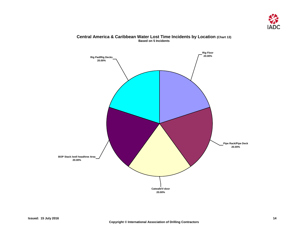

<span id="page-15-0"></span>

#### **Central America & Caribbean Water Lost Time Incidents by Location (Chart 13) Based on 5 Incidents**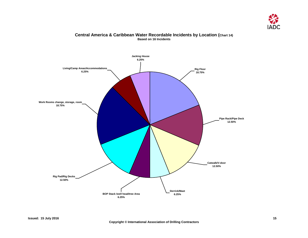

### <span id="page-16-0"></span>**Rig Pad/Rig Decks 12.50% Work Rooms change, storage, room 18.75% Living/Camp Areas/Accommodations 6.25% Jacking House 6.25% Pipe Rack/Pipe Deck 12.50% Catwalk/V-door 12.50%** Derrick/Mast<br>**6.25% BOP Stack /well head/tree Area 6.25% Rig Floor 18.75%**

#### **Central America & Caribbean Water Recordable Incidents by Location (Chart 14) Based on 16 Incidents**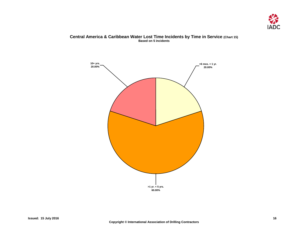

#### **Central America & Caribbean Water Lost Time Incidents by Time in Service (Chart 15) Based on 5 incidents**

<span id="page-17-0"></span>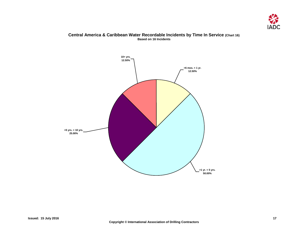

#### **Central America & Caribbean Water Recordable Incidents by Time In Service (Chart 16) Based on 16 Incidents**

<span id="page-18-0"></span>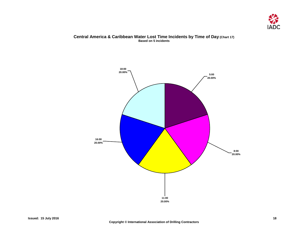

#### **Central America & Caribbean Water Lost Time Incidents by Time of Day (Chart 17) Based on 5 incidents**

<span id="page-19-0"></span>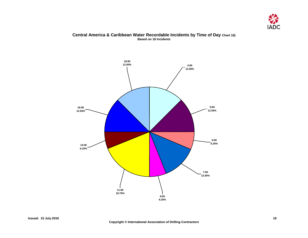

#### **Central America & Caribbean Water Recordable Incidents by Time of Day Chart 18) Based on 16 Incidents**

<span id="page-20-0"></span>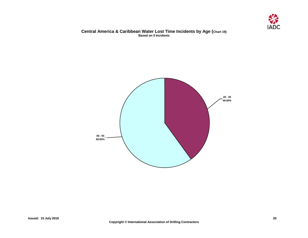

#### **Central America & Caribbean Water Lost Time Incidents by Age (Chart 19) Based on 5 Incidents**